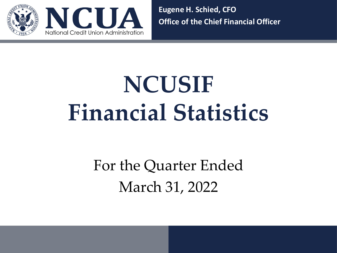

**Eugene H. Schied, CFO Office of the Chief Financial Officer**

# **NCUSIF Financial Statistics**

## For the Quarter Ended March 31, 2022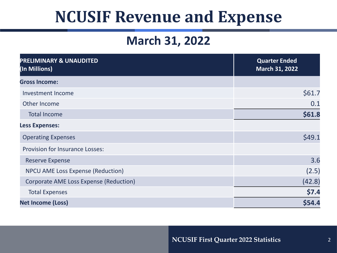## **NCUSIF Revenue and Expense**

### **March 31, 2022**

| <b>PRELIMINARY &amp; UNAUDITED</b><br>(In Millions) | <b>Quarter Ended</b><br><b>March 31, 2022</b> |
|-----------------------------------------------------|-----------------------------------------------|
| <b>Gross Income:</b>                                |                                               |
| <b>Investment Income</b>                            | \$61.7                                        |
| Other Income                                        | 0.1                                           |
| <b>Total Income</b>                                 | \$61.8                                        |
| <b>Less Expenses:</b>                               |                                               |
| <b>Operating Expenses</b>                           | \$49.1                                        |
| <b>Provision for Insurance Losses:</b>              |                                               |
| <b>Reserve Expense</b>                              | 3.6                                           |
| <b>NPCU AME Loss Expense (Reduction)</b>            | (2.5)                                         |
| Corporate AME Loss Expense (Reduction)              | (42.8)                                        |
| <b>Total Expenses</b>                               | \$7.4                                         |
| <b>Net Income (Loss)</b>                            | \$54.4                                        |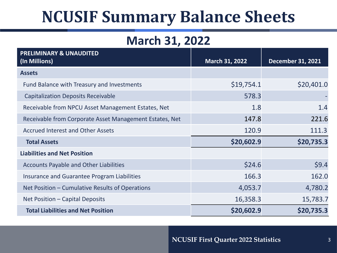## **NCUSIF Summary Balance Sheets**

### **March 31, 2022**

| <b>PRELIMINARY &amp; UNAUDITED</b><br>(In Millions)     | <b>March 31, 2022</b> | <b>December 31, 2021</b> |
|---------------------------------------------------------|-----------------------|--------------------------|
| <b>Assets</b>                                           |                       |                          |
| Fund Balance with Treasury and Investments              | \$19,754.1            | \$20,401.0               |
| <b>Capitalization Deposits Receivable</b>               | 578.3                 |                          |
| Receivable from NPCU Asset Management Estates, Net      | 1.8                   | 1.4                      |
| Receivable from Corporate Asset Management Estates, Net | 147.8                 | 221.6                    |
| <b>Accrued Interest and Other Assets</b>                | 120.9                 | 111.3                    |
| <b>Total Assets</b>                                     | \$20,602.9            | \$20,735.3               |
| <b>Liabilities and Net Position</b>                     |                       |                          |
| <b>Accounts Payable and Other Liabilities</b>           | \$24.6                | \$9.4                    |
| Insurance and Guarantee Program Liabilities             | 166.3                 | 162.0                    |
| Net Position – Cumulative Results of Operations         | 4,053.7               | 4,780.2                  |
| Net Position – Capital Deposits                         | 16,358.3              | 15,783.7                 |
| <b>Total Liabilities and Net Position</b>               | \$20,602.9            | \$20,735.3               |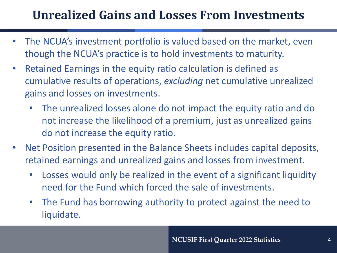### **Unrealized Gains and Losses From Investments**

- The NCUA's investment portfolio is valued based on the market, even though the NCUA's practice is to hold investments to maturity.
- Retained Earnings in the equity ratio calculation is defined as cumulative results of operations, *excluding* net cumulative unrealized gains and losses on investments.
	- The unrealized losses alone do not impact the equity ratio and do not increase the likelihood of a premium, just as unrealized gains do not increase the equity ratio.
- Net Position presented in the Balance Sheets includes capital deposits, retained earnings and unrealized gains and losses from investment.
	- Losses would only be realized in the event of a significant liquidity need for the Fund which forced the sale of investments.
	- The Fund has borrowing authority to protect against the need to liquidate.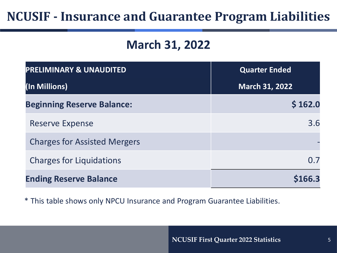### **NCUSIF - Insurance and Guarantee Program Liabilities**

### **March 31, 2022**

| <b>PRELIMINARY &amp; UNAUDITED</b>  | <b>Quarter Ended</b> |
|-------------------------------------|----------------------|
| (In Millions)                       | March 31, 2022       |
| <b>Beginning Reserve Balance:</b>   | \$162.0              |
| <b>Reserve Expense</b>              | 3.6                  |
| <b>Charges for Assisted Mergers</b> |                      |
| <b>Charges for Liquidations</b>     | 0.7                  |
| <b>Ending Reserve Balance</b>       | S166.3               |

\* This table shows only NPCU Insurance and Program Guarantee Liabilities.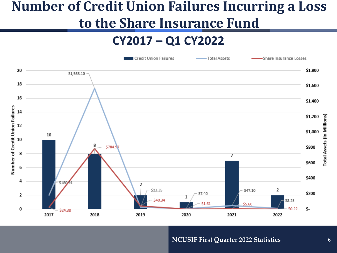### **Number of Credit Union Failures Incurring a Loss to the Share Insurance Fund**

**CY2017 – Q1 CY2022**

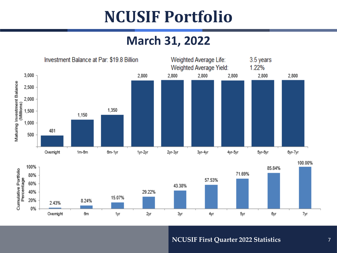## **NCUSIF Portfolio**

### **March 31, 2022**

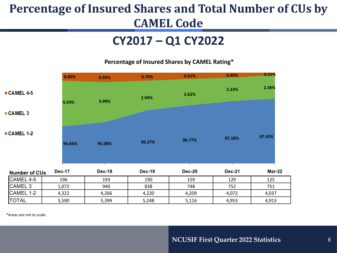### **Percentage of Insured Shares and Total Number of CUs by CAMEL Code**

### **CY2017 – Q1 CY2022**

#### **Percentage of Insured Shares by CAMEL Rating\***



\*Areas are not to scale.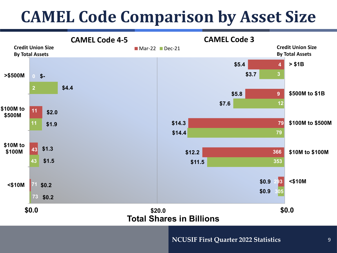## **CAMEL Code Comparison by Asset Size**

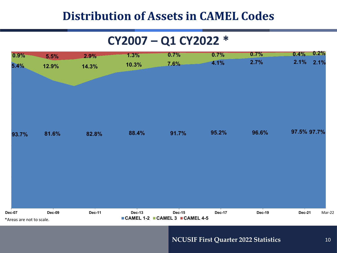### **Distribution of Assets in CAMEL Codes**

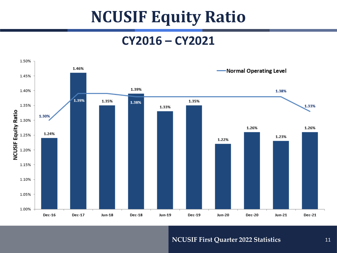## **NCUSIF Equity Ratio**

**CY2016 – CY2021**

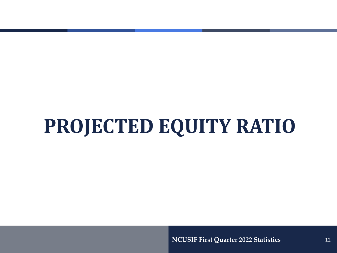# **PROJECTED EQUITY RATIO**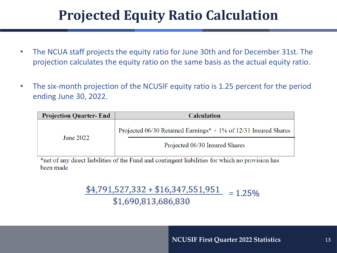### **Projected Equity Ratio Calculation**

- The NCUA staff projects the equity ratio for June 30th and for December 31st. The projection calculates the equity ratio on the same basis as the actual equity ratio.
- The six-month projection of the NCUSIF equity ratio is 1.25 percent for the period ending June 30, 2022.

| <b>Projection Quarter-End</b> | <b>Calculation</b>                                                |
|-------------------------------|-------------------------------------------------------------------|
| June 2022                     | Projected $06/30$ Retained Earnings* + 1% of 12/31 Insured Shares |
|                               | Projected 06/30 Insured Shares                                    |

\*net of any direct liabilities of the Fund and contingent liabilities for which no provision has been made

> $$4,791,527,332 + $16,347,551,951$  = 1.25% \$1,690,813,686,830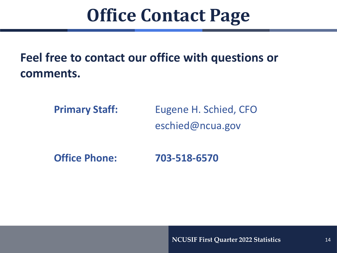## **Office Contact Page**

### **Feel free to contact our office with questions or comments.**

**Primary Staff:** Eugene H. Schied, CFO eschied@ncua.gov

**Office Phone: 703-518-6570**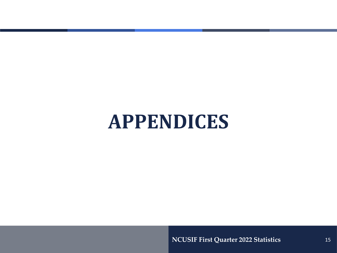## **APPENDICES**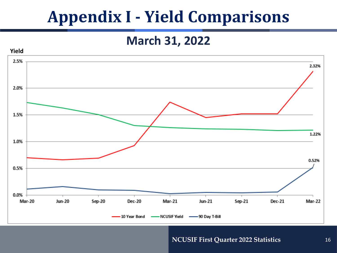## **Appendix I - Yield Comparisons**

### **March 31, 2022**

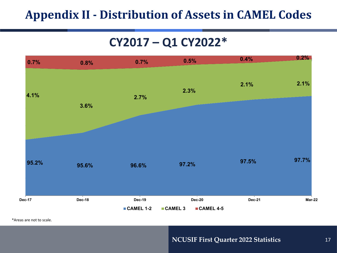### **Appendix II - Distribution of Assets in CAMEL Codes**

### **CY2017 – Q1 CY2022\***



\*Areas are not to scale.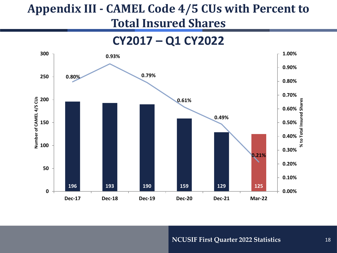### **Appendix III - CAMEL Code 4/5 CUs with Percent to Total Insured Shares**

### **CY2017 – Q1 CY2022**

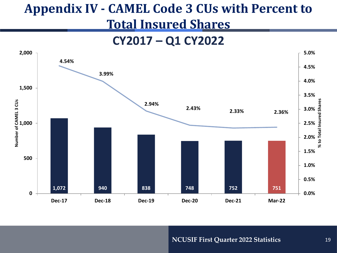### **Appendix IV - CAMEL Code 3 CUs with Percent to Total Insured Shares**

### **CY2017 – Q1 CY2022**

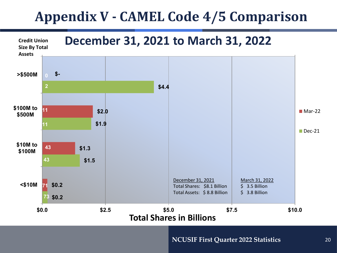### **Appendix V - CAMEL Code 4/5 Comparison**